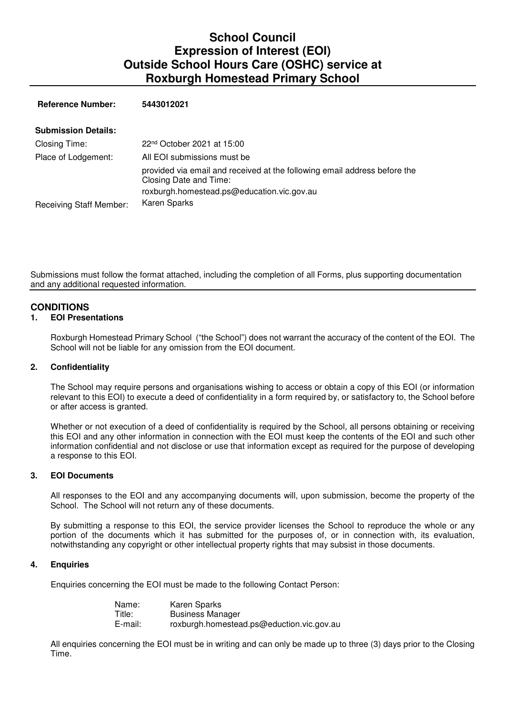# **School Council Expression of Interest (EOI) Outside School Hours Care (OSHC) service at Roxburgh Homestead Primary School**

 **Reference Number: 5443012021**

| <b>Submission Details:</b>     |                                                                                                     |
|--------------------------------|-----------------------------------------------------------------------------------------------------|
| Closing Time:                  | 22 <sup>nd</sup> October 2021 at 15:00                                                              |
| Place of Lodgement:            | All EOI submissions must be                                                                         |
|                                | provided via email and received at the following email address before the<br>Closing Date and Time: |
|                                | roxburgh.homestead.ps@education.vic.gov.au                                                          |
| <b>Receiving Staff Member:</b> | Karen Sparks                                                                                        |

Submissions must follow the format attached, including the completion of all Forms, plus supporting documentation and any additional requested information.

# **CONDITIONS**

### **1. EOI Presentations**

Roxburgh Homestead Primary School ("the School") does not warrant the accuracy of the content of the EOI. The School will not be liable for any omission from the EOI document.

### **2. Confidentiality**

The School may require persons and organisations wishing to access or obtain a copy of this EOI (or information relevant to this EOI) to execute a deed of confidentiality in a form required by, or satisfactory to, the School before or after access is granted.

Whether or not execution of a deed of confidentiality is required by the School, all persons obtaining or receiving this EOI and any other information in connection with the EOI must keep the contents of the EOI and such other information confidential and not disclose or use that information except as required for the purpose of developing a response to this EOI.

#### **3. EOI Documents**

All responses to the EOI and any accompanying documents will, upon submission, become the property of the School. The School will not return any of these documents.

By submitting a response to this EOI, the service provider licenses the School to reproduce the whole or any portion of the documents which it has submitted for the purposes of, or in connection with, its evaluation, notwithstanding any copyright or other intellectual property rights that may subsist in those documents.

#### **4. Enquiries**

Enquiries concerning the EOI must be made to the following Contact Person:

| Name:   | Karen Sparks                              |
|---------|-------------------------------------------|
| Title:  | <b>Business Manager</b>                   |
| E-mail: | roxburgh.homestead.ps@eduction.vic.gov.au |

All enquiries concerning the EOI must be in writing and can only be made up to three (3) days prior to the Closing Time.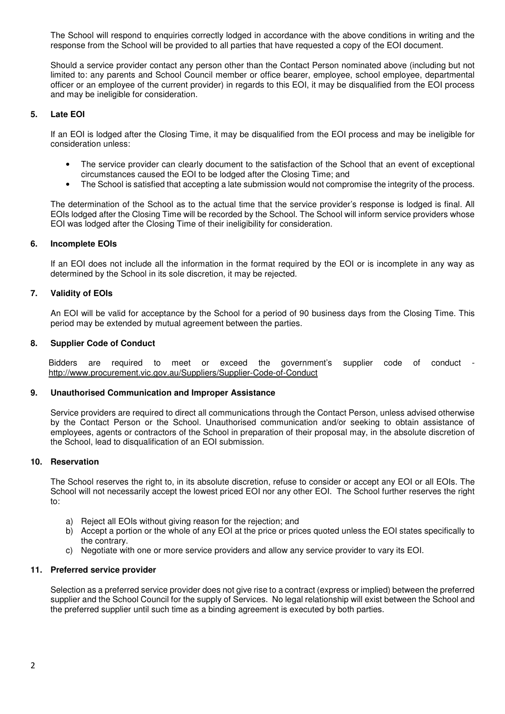The School will respond to enquiries correctly lodged in accordance with the above conditions in writing and the response from the School will be provided to all parties that have requested a copy of the EOI document.

Should a service provider contact any person other than the Contact Person nominated above (including but not limited to: any parents and School Council member or office bearer, employee, school employee, departmental officer or an employee of the current provider) in regards to this EOI, it may be disqualified from the EOI process and may be ineligible for consideration.

### **5. Late EOI**

If an EOI is lodged after the Closing Time, it may be disqualified from the EOI process and may be ineligible for consideration unless:

- The service provider can clearly document to the satisfaction of the School that an event of exceptional circumstances caused the EOI to be lodged after the Closing Time; and
- The School is satisfied that accepting a late submission would not compromise the integrity of the process.

The determination of the School as to the actual time that the service provider's response is lodged is final. All EOIs lodged after the Closing Time will be recorded by the School. The School will inform service providers whose EOI was lodged after the Closing Time of their ineligibility for consideration.

### **6. Incomplete EOIs**

If an EOI does not include all the information in the format required by the EOI or is incomplete in any way as determined by the School in its sole discretion, it may be rejected.

### **7. Validity of EOIs**

An EOI will be valid for acceptance by the School for a period of 90 business days from the Closing Time. This period may be extended by mutual agreement between the parties.

#### **8. Supplier Code of Conduct**

Bidders are required to meet or exceed the government's supplier code of conduct http://www.procurement.vic.gov.au/Suppliers/Supplier-Code-of-Conduct

### **9. Unauthorised Communication and Improper Assistance**

Service providers are required to direct all communications through the Contact Person, unless advised otherwise by the Contact Person or the School. Unauthorised communication and/or seeking to obtain assistance of employees, agents or contractors of the School in preparation of their proposal may, in the absolute discretion of the School, lead to disqualification of an EOI submission.

#### **10. Reservation**

The School reserves the right to, in its absolute discretion, refuse to consider or accept any EOI or all EOIs. The School will not necessarily accept the lowest priced EOI nor any other EOI. The School further reserves the right to:

- a) Reject all EOIs without giving reason for the rejection; and
- b) Accept a portion or the whole of any EOI at the price or prices quoted unless the EOI states specifically to the contrary.
- c) Negotiate with one or more service providers and allow any service provider to vary its EOI.

### **11. Preferred service provider**

Selection as a preferred service provider does not give rise to a contract (express or implied) between the preferred supplier and the School Council for the supply of Services. No legal relationship will exist between the School and the preferred supplier until such time as a binding agreement is executed by both parties.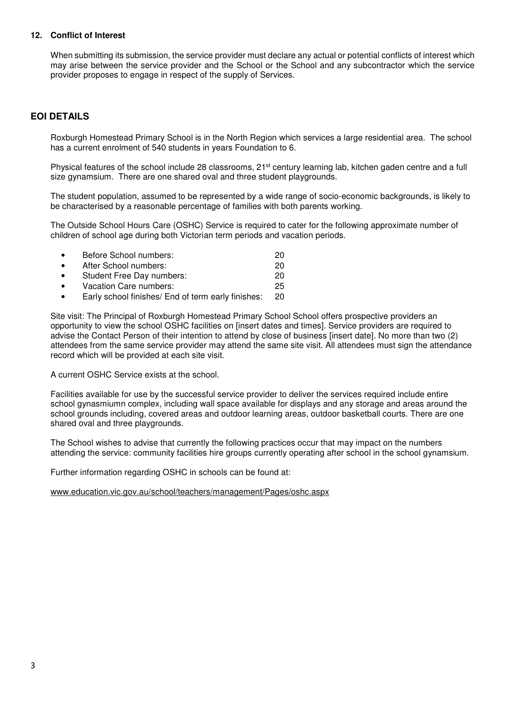### **12. Conflict of Interest**

When submitting its submission, the service provider must declare any actual or potential conflicts of interest which may arise between the service provider and the School or the School and any subcontractor which the service provider proposes to engage in respect of the supply of Services.

# **EOI DETAILS**

Roxburgh Homestead Primary School is in the North Region which services a large residential area. The school has a current enrolment of 540 students in years Foundation to 6.

Physical features of the school include 28 classrooms, 21<sup>st</sup> century learning lab, kitchen gaden centre and a full size gynamsium. There are one shared oval and three student playgrounds.

The student population, assumed to be represented by a wide range of socio-economic backgrounds, is likely to be characterised by a reasonable percentage of families with both parents working.

The Outside School Hours Care (OSHC) Service is required to cater for the following approximate number of children of school age during both Victorian term periods and vacation periods.

|           | Before School numbers:                             | 20 |
|-----------|----------------------------------------------------|----|
| $\bullet$ | After School numbers:                              | 20 |
| $\bullet$ | Student Free Day numbers:                          | 20 |
| $\bullet$ | Vacation Care numbers:                             | 25 |
|           | Early school finishes/ End of term early finishes: | 20 |

Site visit: The Principal of Roxburgh Homestead Primary School School offers prospective providers an opportunity to view the school OSHC facilities on [insert dates and times]. Service providers are required to advise the Contact Person of their intention to attend by close of business [insert date]. No more than two (2) attendees from the same service provider may attend the same site visit. All attendees must sign the attendance record which will be provided at each site visit.

A current OSHC Service exists at the school.

Facilities available for use by the successful service provider to deliver the services required include entire school gynasmiumn complex, including wall space available for displays and any storage and areas around the school grounds including, covered areas and outdoor learning areas, outdoor basketball courts. There are one shared oval and three playgrounds.

The School wishes to advise that currently the following practices occur that may impact on the numbers attending the service: community facilities hire groups currently operating after school in the school gynamsium.

Further information regarding OSHC in schools can be found at:

www.education.vic.gov.au/school/teachers/management/Pages/oshc.aspx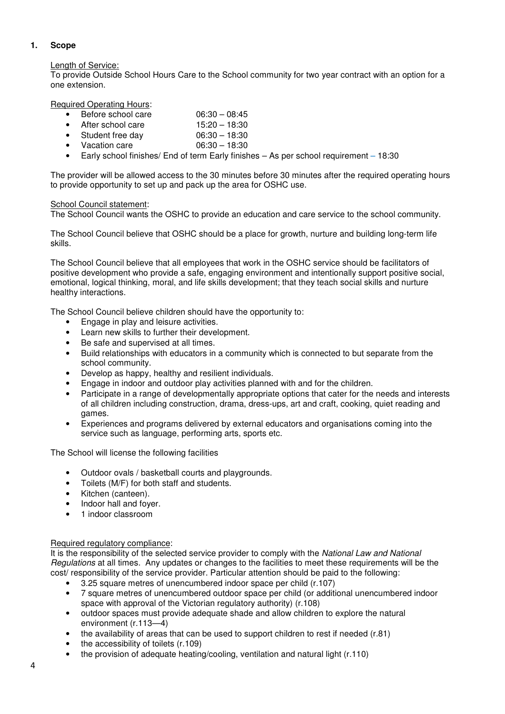# **1. Scope**

# Length of Service:

To provide Outside School Hours Care to the School community for two year contract with an option for a one extension.

Required Operating Hours:

- Before school care  $06:30 08:45$
- After school care 15:20 18:30
- Student free day 06:30 18:30
- Vacation care 06:30 18:30
- Early school finishes/ End of term Early finishes As per school requirement 18:30

The provider will be allowed access to the 30 minutes before 30 minutes after the required operating hours to provide opportunity to set up and pack up the area for OSHC use.

### School Council statement:

The School Council wants the OSHC to provide an education and care service to the school community.

The School Council believe that OSHC should be a place for growth, nurture and building long-term life skills.

The School Council believe that all employees that work in the OSHC service should be facilitators of positive development who provide a safe, engaging environment and intentionally support positive social, emotional, logical thinking, moral, and life skills development; that they teach social skills and nurture healthy interactions.

The School Council believe children should have the opportunity to:

- Engage in play and leisure activities.
- Learn new skills to further their development.
- Be safe and supervised at all times.
- Build relationships with educators in a community which is connected to but separate from the school community.
- Develop as happy, healthy and resilient individuals.
- Engage in indoor and outdoor play activities planned with and for the children.
- Participate in a range of developmentally appropriate options that cater for the needs and interests of all children including construction, drama, dress-ups, art and craft, cooking, quiet reading and games.
- Experiences and programs delivered by external educators and organisations coming into the service such as language, performing arts, sports etc.

The School will license the following facilities

- Outdoor ovals / basketball courts and playgrounds.
- Toilets (M/F) for both staff and students.
- Kitchen (canteen).
- Indoor hall and foyer.
- 1 indoor classroom

### Required regulatory compliance:

It is the responsibility of the selected service provider to comply with the National Law and National Regulations at all times. Any updates or changes to the facilities to meet these requirements will be the cost/ responsibility of the service provider. Particular attention should be paid to the following:

- 3.25 square metres of unencumbered indoor space per child (r.107)
- 7 square metres of unencumbered outdoor space per child (or additional unencumbered indoor space with approval of the Victorian regulatory authority) (r.108)
- outdoor spaces must provide adequate shade and allow children to explore the natural environment (r.113—4)
- the availability of areas that can be used to support children to rest if needed (r.81)
- the accessibility of toilets (r.109)
- the provision of adequate heating/cooling, ventilation and natural light (r.110)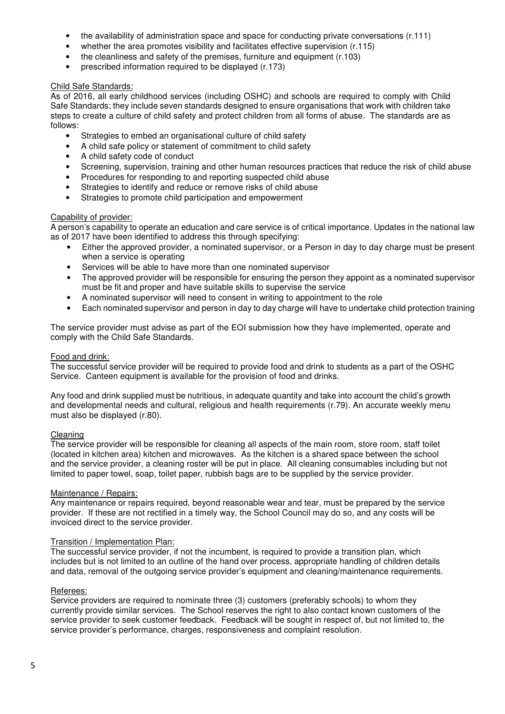- the availability of administration space and space for conducting private conversations (r.111)
- whether the area promotes visibility and facilitates effective supervision (r.115)
- the cleanliness and safety of the premises, furniture and equipment (r.103)
- prescribed information required to be displayed (r.173)

### Child Safe Standards:

As of 2016, all early childhood services (including OSHC) and schools are required to comply with Child Safe Standards; they include seven standards designed to ensure organisations that work with children take steps to create a culture of child safety and protect children from all forms of abuse. The standards are as follows:

- Strategies to embed an organisational culture of child safety
- A child safe policy or statement of commitment to child safety
- A child safety code of conduct
- Screening, supervision, training and other human resources practices that reduce the risk of child abuse
- Procedures for responding to and reporting suspected child abuse
- Strategies to identify and reduce or remove risks of child abuse
- Strategies to promote child participation and empowerment

### Capability of provider:

A person's capability to operate an education and care service is of critical importance. Updates in the national law as of 2017 have been identified to address this through specifying:

- Either the approved provider, a nominated supervisor, or a Person in day to day charge must be present when a service is operating
- Services will be able to have more than one nominated supervisor
- The approved provider will be responsible for ensuring the person they appoint as a nominated supervisor must be fit and proper and have suitable skills to supervise the service
- A nominated supervisor will need to consent in writing to appointment to the role
- Each nominated supervisor and person in day to day charge will have to undertake child protection training

The service provider must advise as part of the EOI submission how they have implemented, operate and comply with the Child Safe Standards.

#### Food and drink:

The successful service provider will be required to provide food and drink to students as a part of the OSHC Service. Canteen equipment is available for the provision of food and drinks.

Any food and drink supplied must be nutritious, in adequate quantity and take into account the child's growth and developmental needs and cultural, religious and health requirements (r.79). An accurate weekly menu must also be displayed (r.80).

#### Cleaning

The service provider will be responsible for cleaning all aspects of the main room, store room, staff toilet (located in kitchen area) kitchen and microwaves. As the kitchen is a shared space between the school and the service provider, a cleaning roster will be put in place. All cleaning consumables including but not limited to paper towel, soap, toilet paper, rubbish bags are to be supplied by the service provider.

### Maintenance / Repairs:

Any maintenance or repairs required, beyond reasonable wear and tear, must be prepared by the service provider. If these are not rectified in a timely way, the School Council may do so, and any costs will be invoiced direct to the service provider.

### Transition / Implementation Plan:

The successful service provider, if not the incumbent, is required to provide a transition plan, which includes but is not limited to an outline of the hand over process, appropriate handling of children details and data, removal of the outgoing service provider's equipment and cleaning/maintenance requirements.

### Referees:

Service providers are required to nominate three (3) customers (preferably schools) to whom they currently provide similar services. The School reserves the right to also contact known customers of the service provider to seek customer feedback. Feedback will be sought in respect of, but not limited to, the service provider's performance, charges, responsiveness and complaint resolution.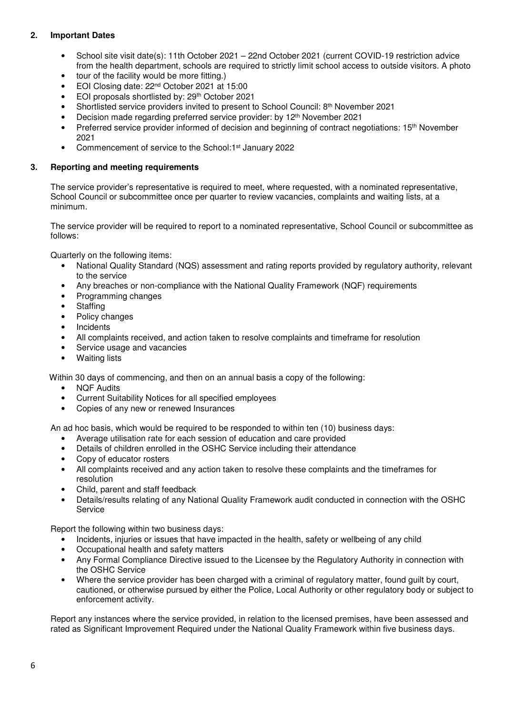# **2. Important Dates**

- School site visit date(s): 11th October 2021 22nd October 2021 (current COVID-19 restriction advice from the health department, schools are required to strictly limit school access to outside visitors. A photo
- tour of the facility would be more fitting.)
- EOI Closing date: 22nd October 2021 at 15:00
- EOI proposals shortlisted by: 29th October 2021
- Shortlisted service providers invited to present to School Council: 8th November 2021
- Decision made regarding preferred service provider: by 12th November 2021
- Preferred service provider informed of decision and beginning of contract negotiations: 15th November 2021
- Commencement of service to the School:1st January 2022

### **3. Reporting and meeting requirements**

The service provider's representative is required to meet, where requested, with a nominated representative, School Council or subcommittee once per quarter to review vacancies, complaints and waiting lists, at a minimum.

The service provider will be required to report to a nominated representative, School Council or subcommittee as follows:

Quarterly on the following items:

- National Quality Standard (NQS) assessment and rating reports provided by regulatory authority, relevant to the service
- Any breaches or non-compliance with the National Quality Framework (NQF) requirements
- Programming changes
- Staffing
- Policy changes
- **Incidents**
- All complaints received, and action taken to resolve complaints and timeframe for resolution
- Service usage and vacancies
- Waiting lists

Within 30 days of commencing, and then on an annual basis a copy of the following:

- **NQF Audits**
- Current Suitability Notices for all specified employees
- Copies of any new or renewed Insurances

An ad hoc basis, which would be required to be responded to within ten (10) business days:

- Average utilisation rate for each session of education and care provided
- Details of children enrolled in the OSHC Service including their attendance
- Copy of educator rosters
- All complaints received and any action taken to resolve these complaints and the timeframes for resolution
- Child, parent and staff feedback
- Details/results relating of any National Quality Framework audit conducted in connection with the OSHC Service

Report the following within two business days:

- Incidents, injuries or issues that have impacted in the health, safety or wellbeing of any child
- Occupational health and safety matters
- Any Formal Compliance Directive issued to the Licensee by the Regulatory Authority in connection with the OSHC Service
- Where the service provider has been charged with a criminal of regulatory matter, found guilt by court, cautioned, or otherwise pursued by either the Police, Local Authority or other regulatory body or subject to enforcement activity.

Report any instances where the service provided, in relation to the licensed premises, have been assessed and rated as Significant Improvement Required under the National Quality Framework within five business days.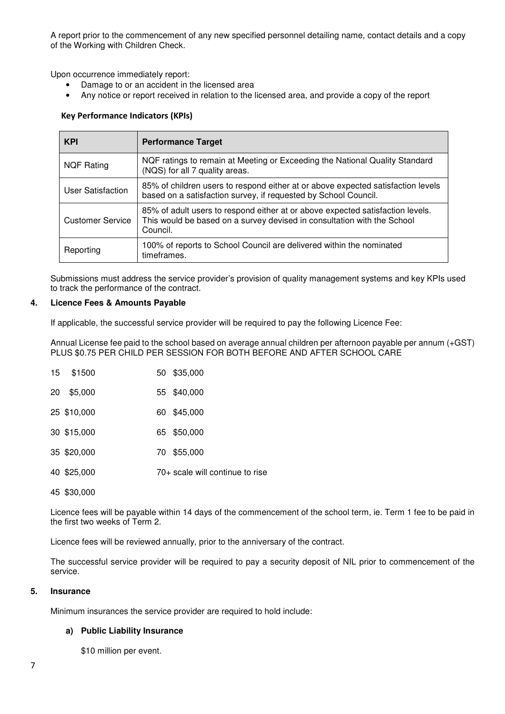A report prior to the commencement of any new specified personnel detailing name, contact details and a copy of the Working with Children Check.

Upon occurrence immediately report:

- Damage to or an accident in the licensed area
- Any notice or report received in relation to the licensed area, and provide a copy of the report

### Key Performance Indicators (KPIs)

| <b>KPI</b>              | <b>Performance Target</b>                                                                                                                                             |
|-------------------------|-----------------------------------------------------------------------------------------------------------------------------------------------------------------------|
| <b>NQF Rating</b>       | NQF ratings to remain at Meeting or Exceeding the National Quality Standard<br>(NQS) for all 7 quality areas.                                                         |
| User Satisfaction       | 85% of children users to respond either at or above expected satisfaction levels<br>based on a satisfaction survey, if requested by School Council.                   |
| <b>Customer Service</b> | 85% of adult users to respond either at or above expected satisfaction levels.<br>This would be based on a survey devised in consultation with the School<br>Council. |
| Reporting               | 100% of reports to School Council are delivered within the nominated<br>timeframes.                                                                                   |

Submissions must address the service provider's provision of quality management systems and key KPIs used to track the performance of the contract.

#### **4. Licence Fees & Amounts Payable**

If applicable, the successful service provider will be required to pay the following Licence Fee:

Annual License fee paid to the school based on average annual children per afternoon payable per annum (+GST) PLUS \$0.75 PER CHILD PER SESSION FOR BOTH BEFORE AND AFTER SCHOOL CARE

|    | 15 \$1500   | 50 \$35,000                     |  |
|----|-------------|---------------------------------|--|
| 20 | \$5,000     | 55 \$40,000                     |  |
|    | 25 \$10,000 | 60 \$45,000                     |  |
|    | 30 \$15,000 | 65 \$50,000                     |  |
|    | 35 \$20,000 | \$55,000<br>70.                 |  |
|    | 40 \$25,000 | 70+ scale will continue to rise |  |
|    | 45 \$30,000 |                                 |  |

Licence fees will be payable within 14 days of the commencement of the school term, ie. Term 1 fee to be paid in the first two weeks of Term 2.

Licence fees will be reviewed annually, prior to the anniversary of the contract.

The successful service provider will be required to pay a security deposit of NIL prior to commencement of the service.

### **5. Insurance**

Minimum insurances the service provider are required to hold include:

#### **a) Public Liability Insurance**

\$10 million per event.